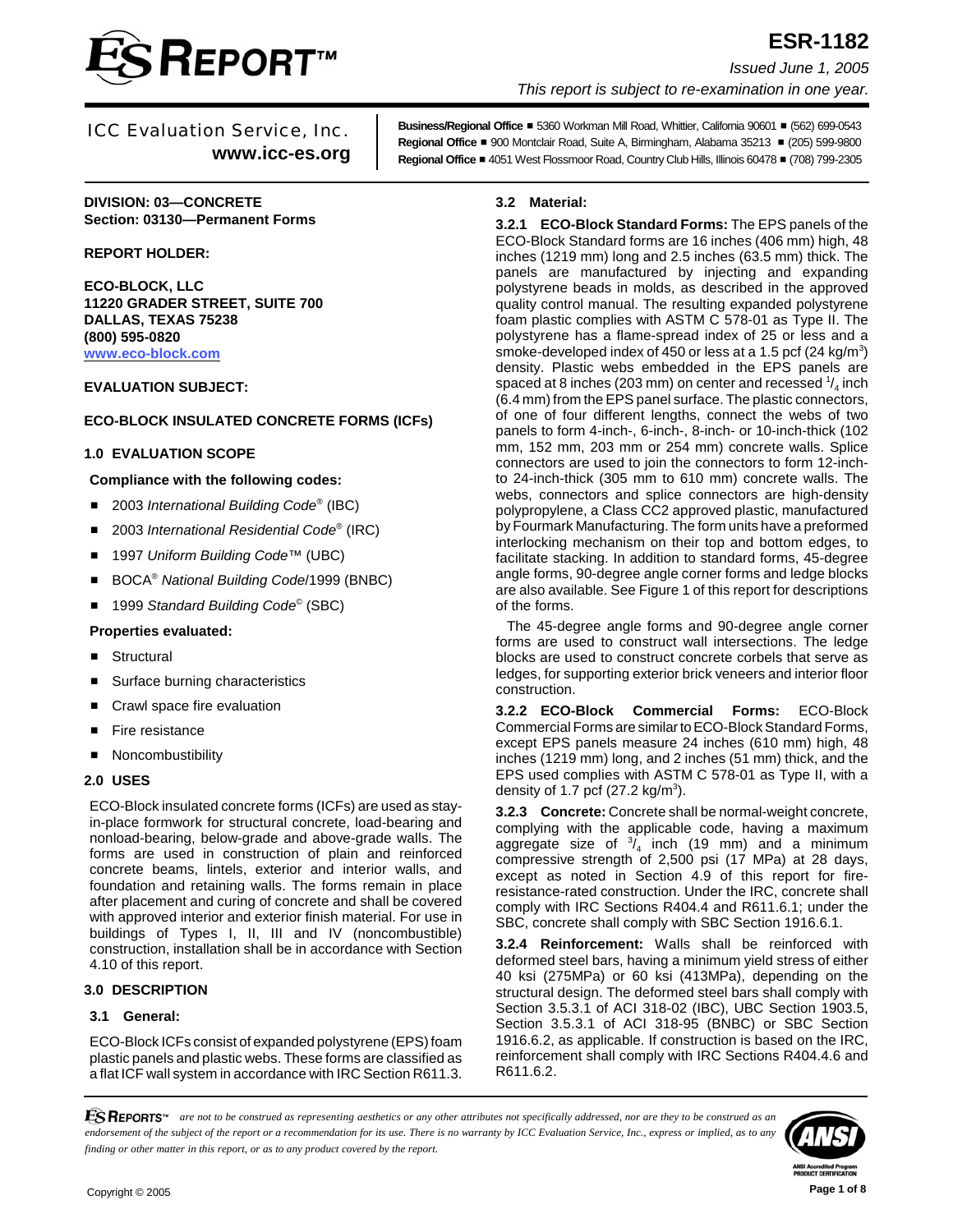

# **ESR-1182** *Issued June 1, 2005 This report is subject to re-examination in one year.*

# ICC Evaluation Service, Inc. **www.icc-es.org**

**Business/Regional Office** # 5360 Workman Mill Road, Whittier, California 90601 # (562) 699-0543 **Regional Office ■ 900 Montclair Road, Suite A, Birmingham, Alabama 35213 ■ (205) 599-9800 Regional Office** # 4051 West Flossmoor Road, Country Club Hills, Illinois 60478 # (708) 799-2305

**DIVISION: 03—CONCRETE Section: 03130—Permanent Forms**

**REPORT HOLDER:**

**ECO-BLOCK, LLC 11220 GRADER STREET, SUITE 700 DALLAS, TEXAS 75238 (800) 595-0820 [www.eco-block.com](http://www.eco-block.com)**

**EVALUATION SUBJECT:**

# **ECO-BLOCK INSULATED CONCRETE FORMS (ICFs)**

# **1.0 EVALUATION SCOPE**

## **Compliance with the following codes:**

- 2003 *International Building Code<sup>®</sup>* (IBC)
- 2003 *International Residential Code*<sup>®</sup> (IRC)
- 1997 *Uniform Building Code*™ (UBC)
- BOCA<sup>®</sup> National Building Code/1999 (BNBC)
- 1999 *Standard Building Code*<sup>©</sup> (SBC)

## **Properties evaluated:**

- **Structural**
- Surface burning characteristics
- Crawl space fire evaluation
- **Fire resistance**
- **Noncombustibility**

## **2.0 USES**

ECO-Block insulated concrete forms (ICFs) are used as stayin-place formwork for structural concrete, load-bearing and nonload-bearing, below-grade and above-grade walls. The forms are used in construction of plain and reinforced concrete beams, lintels, exterior and interior walls, and foundation and retaining walls. The forms remain in place after placement and curing of concrete and shall be covered with approved interior and exterior finish material. For use in buildings of Types I, II, III and IV (noncombustible) construction, installation shall be in accordance with Section 4.10 of this report.

## **3.0 DESCRIPTION**

## **3.1 General:**

ECO-Block ICFs consist of expanded polystyrene (EPS) foam plastic panels and plastic webs. These forms are classified as a flat ICF wall system in accordance with IRC Section R611.3.

# **3.2 Material:**

**3.2.1 ECO-Block Standard Forms:** The EPS panels of the ECO-Block Standard forms are 16 inches (406 mm) high, 48 inches (1219 mm) long and 2.5 inches (63.5 mm) thick. The panels are manufactured by injecting and expanding polystyrene beads in molds, as described in the approved quality control manual. The resulting expanded polystyrene foam plastic complies with ASTM C 578-01 as Type II. The polystyrene has a flame-spread index of 25 or less and a smoke-developed index of 450 or less at a 1.5 pcf (24 kg/m<sup>3</sup>) density. Plastic webs embedded in the EPS panels are spaced at 8 inches (203 mm) on center and recessed  $\frac{1}{4}$  inch (6.4 mm) from the EPS panel surface. The plastic connectors, of one of four different lengths, connect the webs of two panels to form 4-inch-, 6-inch-, 8-inch- or 10-inch-thick (102 mm, 152 mm, 203 mm or 254 mm) concrete walls. Splice connectors are used to join the connectors to form 12-inchto 24-inch-thick (305 mm to 610 mm) concrete walls. The webs, connectors and splice connectors are high-density polypropylene, a Class CC2 approved plastic, manufactured by Fourmark Manufacturing. The form units have a preformed interlocking mechanism on their top and bottom edges, to facilitate stacking. In addition to standard forms, 45-degree angle forms, 90-degree angle corner forms and ledge blocks are also available. See Figure 1 of this report for descriptions of the forms.

The 45-degree angle forms and 90-degree angle corner forms are used to construct wall intersections. The ledge blocks are used to construct concrete corbels that serve as ledges, for supporting exterior brick veneers and interior floor construction.

**3.2.2 ECO-Block Commercial Forms:** ECO-Block Commercial Forms are similar to ECO-Block Standard Forms, except EPS panels measure 24 inches (610 mm) high, 48 inches (1219 mm) long, and 2 inches (51 mm) thick, and the EPS used complies with ASTM C 578-01 as Type II, with a density of 1.7 pcf  $(27.2 \text{ kg/m}^3)$ .

**3.2.3 Concrete:** Concrete shall be normal-weight concrete, complying with the applicable code, having a maximum aggregate size of  $\frac{3}{4}$  inch (19 mm) and a minimum compressive strength of 2,500 psi (17 MPa) at 28 days, except as noted in Section 4.9 of this report for fireresistance-rated construction. Under the IRC, concrete shall comply with IRC Sections R404.4 and R611.6.1; under the SBC, concrete shall comply with SBC Section 1916.6.1.

**3.2.4 Reinforcement:** Walls shall be reinforced with deformed steel bars, having a minimum yield stress of either 40 ksi (275MPa) or 60 ksi (413MPa), depending on the structural design. The deformed steel bars shall comply with Section 3.5.3.1 of ACI 318-02 (IBC), UBC Section 1903.5, Section 3.5.3.1 of ACI 318-95 (BNBC) or SBC Section 1916.6.2, as applicable. If construction is based on the IRC, reinforcement shall comply with IRC Sections R404.4.6 and R611.6.2.

*ESREPORTS<sup>\*\*</sup> are not to be construed as representing aesthetics or any other attributes not specifically addressed, nor are they to be construed as an endorsement of the subject of the report or a recommendation for its use. There is no warranty by ICC Evaluation Service, Inc., express or implied, as to any finding or other matter in this report, or as to any product covered by the report.*



Copyright © 2005 **Page 1 of 8**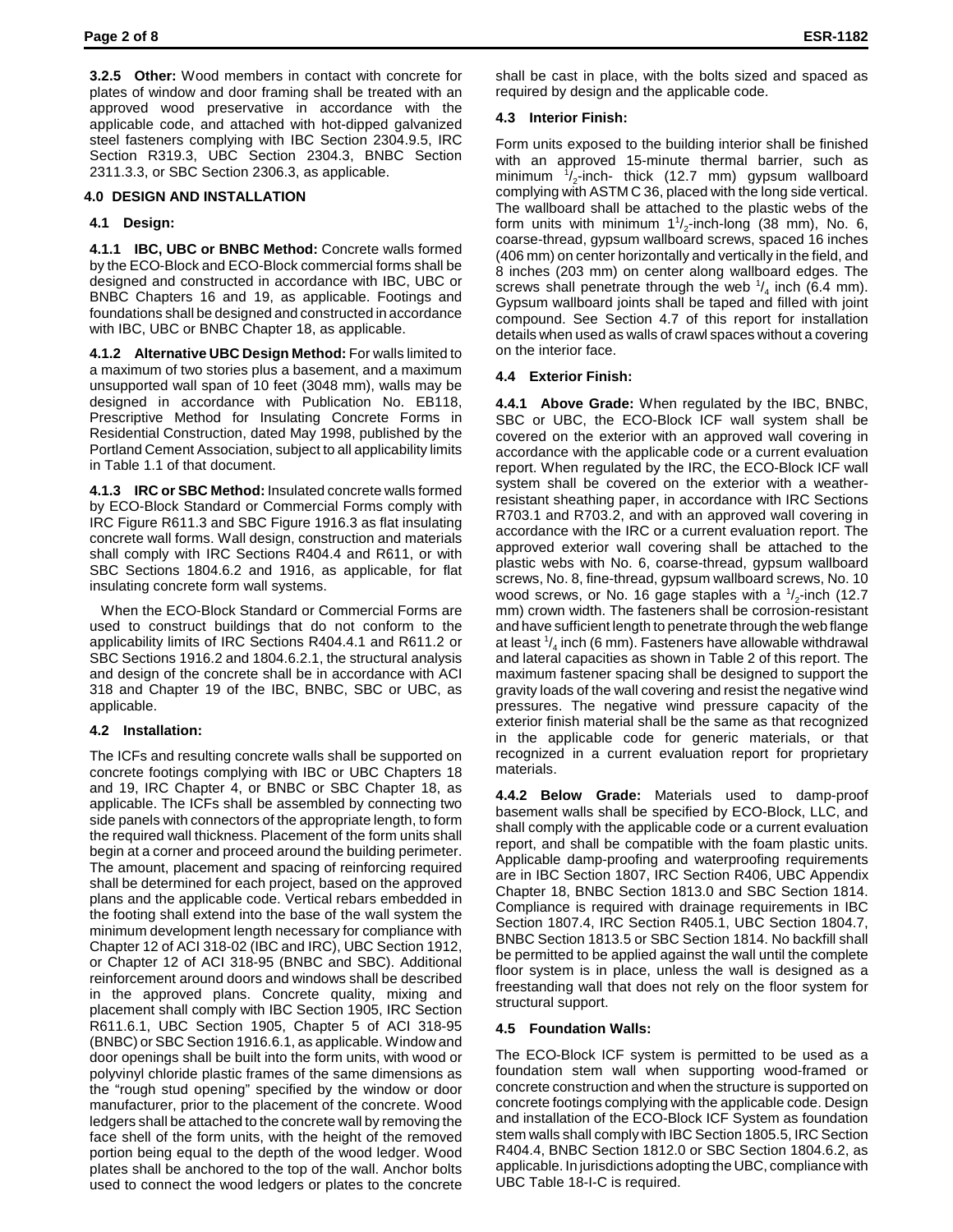**3.2.5 Other:** Wood members in contact with concrete for plates of window and door framing shall be treated with an approved wood preservative in accordance with the applicable code, and attached with hot-dipped galvanized steel fasteners complying with IBC Section 2304.9.5, IRC Section R319.3, UBC Section 2304.3, BNBC Section 2311.3.3, or SBC Section 2306.3, as applicable.

# **4.0 DESIGN AND INSTALLATION**

# **4.1 Design:**

**4.1.1 IBC, UBC or BNBC Method:** Concrete walls formed by the ECO-Block and ECO-Block commercial forms shall be designed and constructed in accordance with IBC, UBC or BNBC Chapters 16 and 19, as applicable. Footings and foundations shall be designed and constructed in accordance with IBC, UBC or BNBC Chapter 18, as applicable.

**4.1.2 Alternative UBC Design Method:** For walls limited to a maximum of two stories plus a basement, and a maximum unsupported wall span of 10 feet (3048 mm), walls may be designed in accordance with Publication No. EB118, Prescriptive Method for Insulating Concrete Forms in Residential Construction, dated May 1998, published by the Portland Cement Association, subject to all applicability limits in Table 1.1 of that document.

**4.1.3 IRC or SBC Method:** Insulated concrete walls formed by ECO-Block Standard or Commercial Forms comply with IRC Figure R611.3 and SBC Figure 1916.3 as flat insulating concrete wall forms. Wall design, construction and materials shall comply with IRC Sections R404.4 and R611, or with SBC Sections 1804.6.2 and 1916, as applicable, for flat insulating concrete form wall systems.

When the ECO-Block Standard or Commercial Forms are used to construct buildings that do not conform to the applicability limits of IRC Sections R404.4.1 and R611.2 or SBC Sections 1916.2 and 1804.6.2.1, the structural analysis and design of the concrete shall be in accordance with ACI 318 and Chapter 19 of the IBC, BNBC, SBC or UBC, as applicable.

# **4.2 Installation:**

The ICFs and resulting concrete walls shall be supported on concrete footings complying with IBC or UBC Chapters 18 and 19, IRC Chapter 4, or BNBC or SBC Chapter 18, as applicable. The ICFs shall be assembled by connecting two side panels with connectors of the appropriate length, to form the required wall thickness. Placement of the form units shall begin at a corner and proceed around the building perimeter. The amount, placement and spacing of reinforcing required shall be determined for each project, based on the approved plans and the applicable code. Vertical rebars embedded in the footing shall extend into the base of the wall system the minimum development length necessary for compliance with Chapter 12 of ACI 318-02 (IBC and IRC), UBC Section 1912, or Chapter 12 of ACI 318-95 (BNBC and SBC). Additional reinforcement around doors and windows shall be described in the approved plans. Concrete quality, mixing and placement shall comply with IBC Section 1905, IRC Section R611.6.1, UBC Section 1905, Chapter 5 of ACI 318-95 (BNBC) or SBC Section 1916.6.1, as applicable. Window and door openings shall be built into the form units, with wood or polyvinyl chloride plastic frames of the same dimensions as the "rough stud opening" specified by the window or door manufacturer, prior to the placement of the concrete. Wood ledgers shall be attached to the concrete wall by removing the face shell of the form units, with the height of the removed portion being equal to the depth of the wood ledger. Wood plates shall be anchored to the top of the wall. Anchor bolts used to connect the wood ledgers or plates to the concrete

shall be cast in place, with the bolts sized and spaced as required by design and the applicable code.

# **4.3 Interior Finish:**

Form units exposed to the building interior shall be finished with an approved 15-minute thermal barrier, such as minimum  $\frac{1}{2}$ -inch- thick (12.7 mm) gypsum wallboard complying with ASTM C 36, placed with the long side vertical. The wallboard shall be attached to the plastic webs of the form units with minimum  $1\frac{1}{2}$ -inch-long (38 mm), No. 6, coarse-thread, gypsum wallboard screws, spaced 16 inches (406 mm) on center horizontally and vertically in the field, and 8 inches (203 mm) on center along wallboard edges. The screws shall penetrate through the web  $\frac{1}{4}$  inch (6.4 mm). Gypsum wallboard joints shall be taped and filled with joint compound. See Section 4.7 of this report for installation details when used as walls of crawl spaces without a covering on the interior face.

# **4.4 Exterior Finish:**

**4.4.1 Above Grade:** When regulated by the IBC, BNBC, SBC or UBC, the ECO-Block ICF wall system shall be covered on the exterior with an approved wall covering in accordance with the applicable code or a current evaluation report. When regulated by the IRC, the ECO-Block ICF wall system shall be covered on the exterior with a weatherresistant sheathing paper, in accordance with IRC Sections R703.1 and R703.2, and with an approved wall covering in accordance with the IRC or a current evaluation report. The approved exterior wall covering shall be attached to the plastic webs with No. 6, coarse-thread, gypsum wallboard screws, No. 8, fine-thread, gypsum wallboard screws, No. 10 wood screws, or No. 16 gage staples with a  $\frac{1}{2}$ -inch (12.7 mm) crown width. The fasteners shall be corrosion-resistant and have sufficient length to penetrate through the web flange at least  $\frac{1}{4}$  inch (6 mm). Fasteners have allowable withdrawal and lateral capacities as shown in Table 2 of this report. The maximum fastener spacing shall be designed to support the gravity loads of the wall covering and resist the negative wind pressures. The negative wind pressure capacity of the exterior finish material shall be the same as that recognized in the applicable code for generic materials, or that recognized in a current evaluation report for proprietary materials.

**4.4.2 Below Grade:** Materials used to damp-proof basement walls shall be specified by ECO-Block, LLC, and shall comply with the applicable code or a current evaluation report, and shall be compatible with the foam plastic units. Applicable damp-proofing and waterproofing requirements are in IBC Section 1807, IRC Section R406, UBC Appendix Chapter 18, BNBC Section 1813.0 and SBC Section 1814. Compliance is required with drainage requirements in IBC Section 1807.4, IRC Section R405.1, UBC Section 1804.7, BNBC Section 1813.5 or SBC Section 1814. No backfill shall be permitted to be applied against the wall until the complete floor system is in place, unless the wall is designed as a freestanding wall that does not rely on the floor system for structural support.

# **4.5 Foundation Walls:**

The ECO-Block ICF system is permitted to be used as a foundation stem wall when supporting wood-framed or concrete construction and when the structure is supported on concrete footings complying with the applicable code. Design and installation of the ECO-Block ICF System as foundation stem walls shall comply with IBC Section 1805.5, IRC Section R404.4, BNBC Section 1812.0 or SBC Section 1804.6.2, as applicable. In jurisdictions adopting the UBC, compliance with UBC Table 18-I-C is required.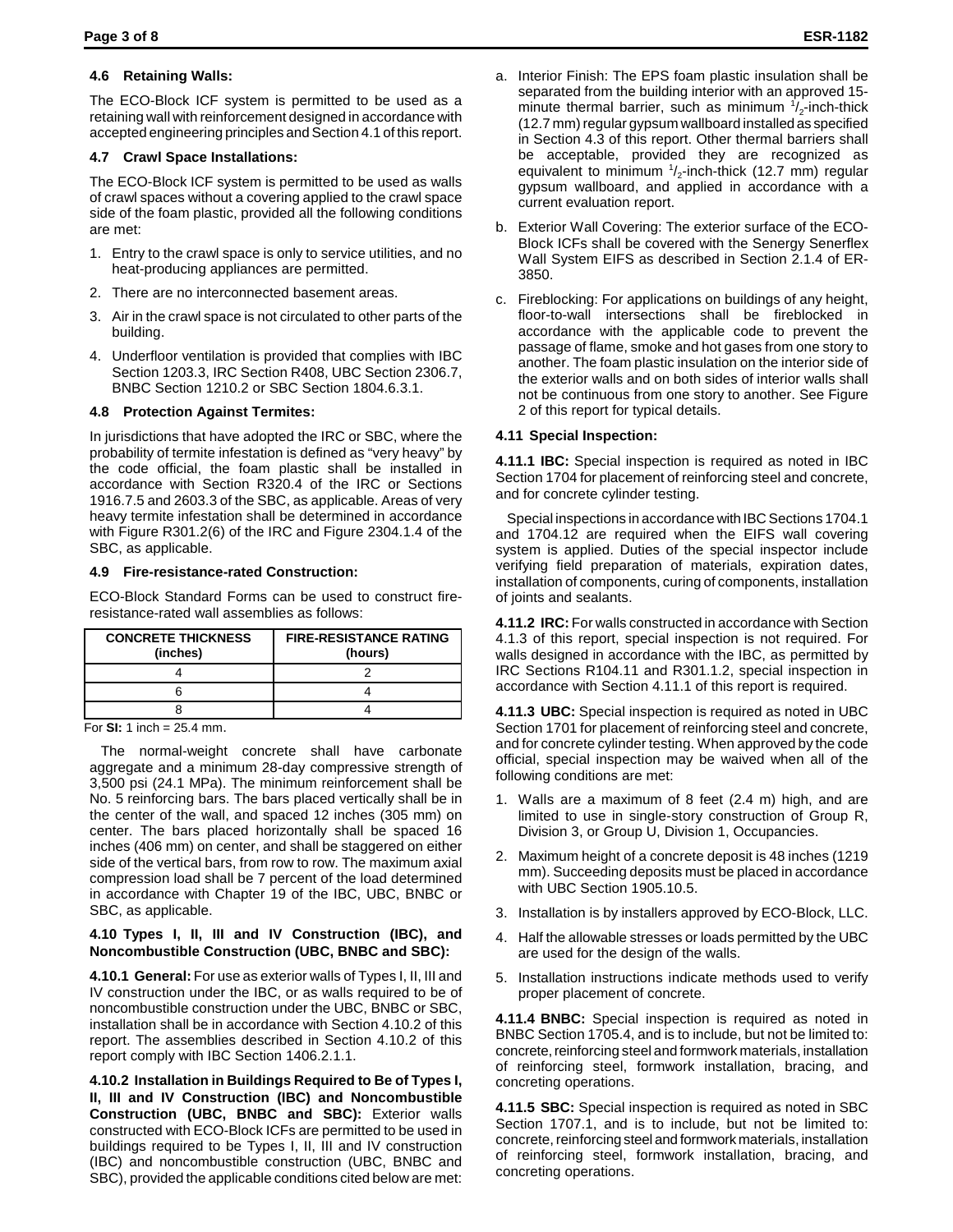# **4.6 Retaining Walls:**

The ECO-Block ICF system is permitted to be used as a retaining wall with reinforcement designed in accordance with accepted engineering principles and Section 4.1 of this report.

# **4.7 Crawl Space Installations:**

The ECO-Block ICF system is permitted to be used as walls of crawl spaces without a covering applied to the crawl space side of the foam plastic, provided all the following conditions are met:

- 1. Entry to the crawl space is only to service utilities, and no heat-producing appliances are permitted.
- 2. There are no interconnected basement areas.
- 3. Air in the crawl space is not circulated to other parts of the building.
- 4. Underfloor ventilation is provided that complies with IBC Section 1203.3, IRC Section R408, UBC Section 2306.7, BNBC Section 1210.2 or SBC Section 1804.6.3.1.

## **4.8 Protection Against Termites:**

In jurisdictions that have adopted the IRC or SBC, where the probability of termite infestation is defined as "very heavy" by the code official, the foam plastic shall be installed in accordance with Section R320.4 of the IRC or Sections 1916.7.5 and 2603.3 of the SBC, as applicable. Areas of very heavy termite infestation shall be determined in accordance with Figure R301.2(6) of the IRC and Figure 2304.1.4 of the SBC, as applicable.

## **4.9 Fire-resistance-rated Construction:**

ECO-Block Standard Forms can be used to construct fireresistance-rated wall assemblies as follows:

| <b>CONCRETE THICKNESS</b><br>(inches) | <b>FIRE-RESISTANCE RATING</b><br>(hours) |
|---------------------------------------|------------------------------------------|
|                                       |                                          |
|                                       |                                          |
|                                       |                                          |

For **SI:** 1 inch = 25.4 mm.

The normal-weight concrete shall have carbonate aggregate and a minimum 28-day compressive strength of 3,500 psi (24.1 MPa). The minimum reinforcement shall be No. 5 reinforcing bars. The bars placed vertically shall be in the center of the wall, and spaced 12 inches (305 mm) on center. The bars placed horizontally shall be spaced 16 inches (406 mm) on center, and shall be staggered on either side of the vertical bars, from row to row. The maximum axial compression load shall be 7 percent of the load determined in accordance with Chapter 19 of the IBC, UBC, BNBC or SBC, as applicable.

#### **4.10 Types I, II, III and IV Construction (IBC), and Noncombustible Construction (UBC, BNBC and SBC):**

**4.10.1 General:** For use as exterior walls of Types I, II, III and IV construction under the IBC, or as walls required to be of noncombustible construction under the UBC, BNBC or SBC, installation shall be in accordance with Section 4.10.2 of this report. The assemblies described in Section 4.10.2 of this report comply with IBC Section 1406.2.1.1.

**4.10.2 Installation in Buildings Required to Be of Types I, II, III and IV Construction (IBC) and Noncombustible Construction (UBC, BNBC and SBC):** Exterior walls constructed with ECO-Block ICFs are permitted to be used in buildings required to be Types I, II, III and IV construction (IBC) and noncombustible construction (UBC, BNBC and SBC), provided the applicable conditions cited below are met:

- a. Interior Finish: The EPS foam plastic insulation shall be separated from the building interior with an approved 15 minute thermal barrier, such as minimum  $\frac{1}{2}$ -inch-thick (12.7 mm) regular gypsum wallboard installed as specified in Section 4.3 of this report. Other thermal barriers shall be acceptable, provided they are recognized as equivalent to minimum 1/<sub>2</sub>-inch-thick (12.7 mm) regular gypsum wallboard, and applied in accordance with a current evaluation report.
- b. Exterior Wall Covering: The exterior surface of the ECO-Block ICFs shall be covered with the Senergy Senerflex Wall System EIFS as described in Section 2.1.4 of ER-3850.
- c. Fireblocking: For applications on buildings of any height, floor-to-wall intersections shall be fireblocked in accordance with the applicable code to prevent the passage of flame, smoke and hot gases from one story to another. The foam plastic insulation on the interior side of the exterior walls and on both sides of interior walls shall not be continuous from one story to another. See Figure 2 of this report for typical details.

## **4.11 Special Inspection:**

**4.11.1 IBC:** Special inspection is required as noted in IBC Section 1704 for placement of reinforcing steel and concrete, and for concrete cylinder testing.

Special inspections in accordance with IBC Sections 1704.1 and 1704.12 are required when the EIFS wall covering system is applied. Duties of the special inspector include verifying field preparation of materials, expiration dates, installation of components, curing of components, installation of joints and sealants.

**4.11.2 IRC:** For walls constructed in accordance with Section 4.1.3 of this report, special inspection is not required. For walls designed in accordance with the IBC, as permitted by IRC Sections R104.11 and R301.1.2, special inspection in accordance with Section 4.11.1 of this report is required.

**4.11.3 UBC:** Special inspection is required as noted in UBC Section 1701 for placement of reinforcing steel and concrete, and for concrete cylinder testing. When approved by the code official, special inspection may be waived when all of the following conditions are met:

- 1. Walls are a maximum of 8 feet (2.4 m) high, and are limited to use in single-story construction of Group R, Division 3, or Group U, Division 1, Occupancies.
- 2. Maximum height of a concrete deposit is 48 inches (1219 mm). Succeeding deposits must be placed in accordance with UBC Section 1905.10.5.
- 3. Installation is by installers approved by ECO-Block, LLC.
- 4. Half the allowable stresses or loads permitted by the UBC are used for the design of the walls.
- 5. Installation instructions indicate methods used to verify proper placement of concrete.

**4.11.4 BNBC:** Special inspection is required as noted in BNBC Section 1705.4, and is to include, but not be limited to: concrete, reinforcing steel and formwork materials, installation of reinforcing steel, formwork installation, bracing, and concreting operations.

**4.11.5 SBC:** Special inspection is required as noted in SBC Section 1707.1, and is to include, but not be limited to: concrete, reinforcing steel and formwork materials, installation of reinforcing steel, formwork installation, bracing, and concreting operations.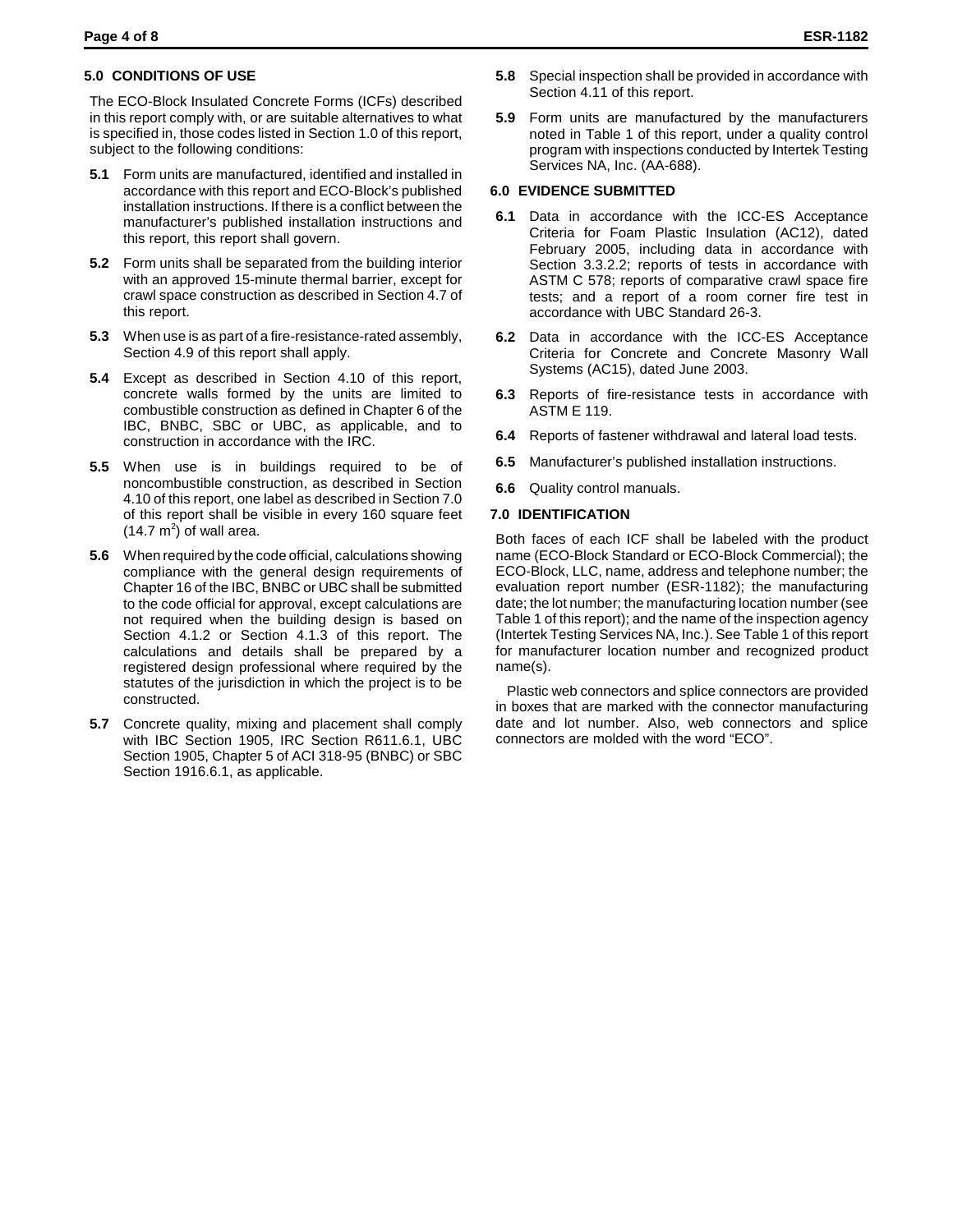#### **5.0 CONDITIONS OF USE**

The ECO-Block Insulated Concrete Forms (ICFs) described in this report comply with, or are suitable alternatives to what is specified in, those codes listed in Section 1.0 of this report, subject to the following conditions:

- **5.1** Form units are manufactured, identified and installed in accordance with this report and ECO-Block's published installation instructions. If there is a conflict between the manufacturer's published installation instructions and this report, this report shall govern.
- **5.2** Form units shall be separated from the building interior with an approved 15-minute thermal barrier, except for crawl space construction as described in Section 4.7 of this report.
- **5.3** When use is as part of a fire-resistance-rated assembly, Section 4.9 of this report shall apply.
- **5.4** Except as described in Section 4.10 of this report, concrete walls formed by the units are limited to combustible construction as defined in Chapter 6 of the IBC, BNBC, SBC or UBC, as applicable, and to construction in accordance with the IRC.
- **5.5** When use is in buildings required to be of noncombustible construction, as described in Section 4.10 of this report, one label as described in Section 7.0 of this report shall be visible in every 160 square feet  $(14.7 \text{ m}^2)$  of wall area.
- **5.6** When required by the code official, calculations showing compliance with the general design requirements of Chapter 16 of the IBC, BNBC or UBC shall be submitted to the code official for approval, except calculations are not required when the building design is based on Section 4.1.2 or Section 4.1.3 of this report. The calculations and details shall be prepared by a registered design professional where required by the statutes of the jurisdiction in which the project is to be constructed.
- **5.7** Concrete quality, mixing and placement shall comply with IBC Section 1905, IRC Section R611.6.1, UBC Section 1905, Chapter 5 of ACI 318-95 (BNBC) or SBC Section 1916.6.1, as applicable.
- **5.8** Special inspection shall be provided in accordance with Section 4.11 of this report.
- **5.9** Form units are manufactured by the manufacturers noted in Table 1 of this report, under a quality control program with inspections conducted by Intertek Testing Services NA, Inc. (AA-688).

#### **6.0 EVIDENCE SUBMITTED**

- **6.1** Data in accordance with the ICC-ES Acceptance Criteria for Foam Plastic Insulation (AC12), dated February 2005, including data in accordance with Section 3.3.2.2; reports of tests in accordance with ASTM C 578; reports of comparative crawl space fire tests; and a report of a room corner fire test in accordance with UBC Standard 26-3.
- **6.2** Data in accordance with the ICC-ES Acceptance Criteria for Concrete and Concrete Masonry Wall Systems (AC15), dated June 2003.
- **6.3** Reports of fire-resistance tests in accordance with ASTM E 119.
- **6.4** Reports of fastener withdrawal and lateral load tests.
- **6.5** Manufacturer's published installation instructions.
- **6.6** Quality control manuals.

#### **7.0 IDENTIFICATION**

Both faces of each ICF shall be labeled with the product name (ECO-Block Standard or ECO-Block Commercial); the ECO-Block, LLC, name, address and telephone number; the evaluation report number (ESR-1182); the manufacturing date; the lot number; the manufacturing location number (see Table 1 of this report); and the name of the inspection agency (Intertek Testing Services NA, Inc.). See Table 1 of this report for manufacturer location number and recognized product name(s).

Plastic web connectors and splice connectors are provided in boxes that are marked with the connector manufacturing date and lot number. Also, web connectors and splice connectors are molded with the word "ECO".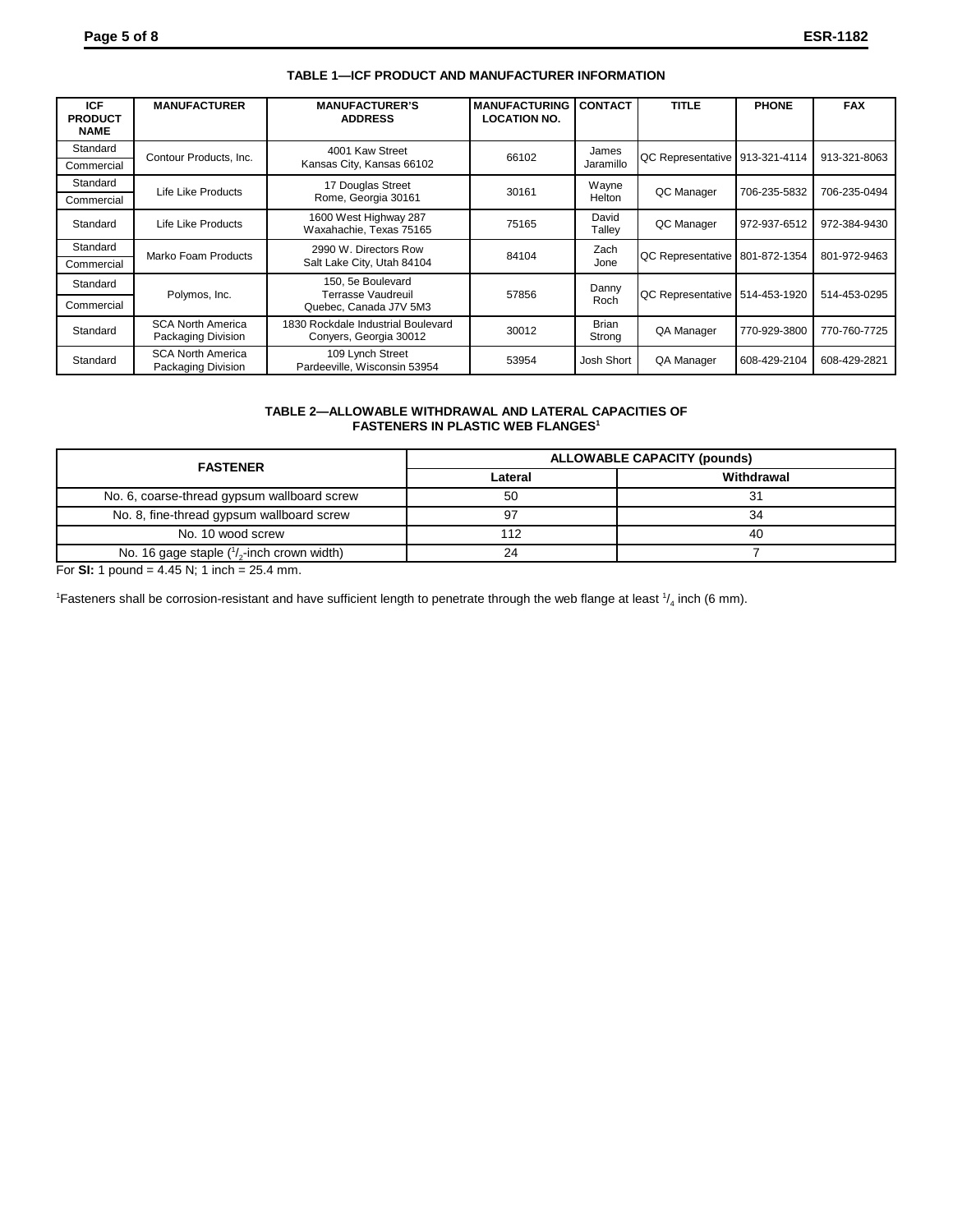| <b>ICF</b><br><b>PRODUCT</b><br><b>NAME</b> | <b>MANUFACTURER</b>                            | <b>MANUFACTURER'S</b><br><b>ADDRESS</b>                      | <b>MANUFACTURING</b><br><b>LOCATION NO.</b> | <b>CONTACT</b>         | <b>TITLE</b>                     | <b>PHONE</b> | <b>FAX</b>   |
|---------------------------------------------|------------------------------------------------|--------------------------------------------------------------|---------------------------------------------|------------------------|----------------------------------|--------------|--------------|
| Standard                                    |                                                | 4001 Kaw Street<br>Contour Products, Inc.<br>66102           |                                             | James<br>Jaramillo     | QC Representative   913-321-4114 |              | 913-321-8063 |
| Commercial                                  |                                                | Kansas City, Kansas 66102                                    |                                             |                        |                                  |              |              |
| Standard                                    | Life Like Products                             | 17 Douglas Street                                            | 30161                                       | Wayne                  | QC Manager                       | 706-235-5832 | 706-235-0494 |
| Commercial                                  |                                                | Rome, Georgia 30161                                          |                                             | Helton                 |                                  |              |              |
| Standard                                    | Life Like Products                             | 1600 West Highway 287<br>Waxahachie, Texas 75165             | 75165                                       | David<br>Talley        | QC Manager                       | 972-937-6512 | 972-384-9430 |
| Standard                                    | Marko Foam Products                            | 2990 W. Directors Row                                        | 84104                                       | Zach<br>Jone           | QC Representative 801-872-1354   |              | 801-972-9463 |
| Commercial                                  |                                                | Salt Lake City, Utah 84104                                   |                                             |                        |                                  |              |              |
| Standard                                    | Polymos, Inc.                                  | 150, 5e Boulevard<br>Terrasse Vaudreuil                      | 57856                                       | Danny                  | QC Representative 514-453-1920   |              | 514-453-0295 |
| Commercial                                  |                                                | Quebec, Canada J7V 5M3                                       |                                             | Roch                   |                                  |              |              |
| Standard                                    | <b>SCA North America</b><br>Packaging Division | 1830 Rockdale Industrial Boulevard<br>Conyers, Georgia 30012 | 30012                                       | <b>Brian</b><br>Strong | QA Manager                       | 770-929-3800 | 770-760-7725 |
| Standard                                    | <b>SCA North America</b><br>Packaging Division | 109 Lynch Street<br>Pardeeville, Wisconsin 53954             | 53954                                       | Josh Short             | QA Manager                       | 608-429-2104 | 608-429-2821 |

# **TABLE 1—ICF PRODUCT AND MANUFACTURER INFORMATION**

#### **TABLE 2—ALLOWABLE WITHDRAWAL AND LATERAL CAPACITIES OF FASTENERS IN PLASTIC WEB FLANGES<sup>1</sup>**

| <b>FASTENER</b>                                      | <b>ALLOWABLE CAPACITY (pounds)</b> |            |  |  |
|------------------------------------------------------|------------------------------------|------------|--|--|
|                                                      | Lateral                            | Withdrawal |  |  |
| No. 6, coarse-thread gypsum wallboard screw          | 50                                 | 31         |  |  |
| No. 8, fine-thread gypsum wallboard screw            | 97                                 | 34         |  |  |
| No. 10 wood screw                                    | 112                                | 40         |  |  |
| No. 16 gage staple $\binom{1}{2}$ -inch crown width) | 24                                 |            |  |  |

For **SI:** 1 pound = 4.45 N; 1 inch =  $25.4$  mm.

<sup>1</sup> Fasteners shall be corrosion-resistant and have sufficient length to penetrate through the web flange at least  $\frac{1}{4}$  inch (6 mm).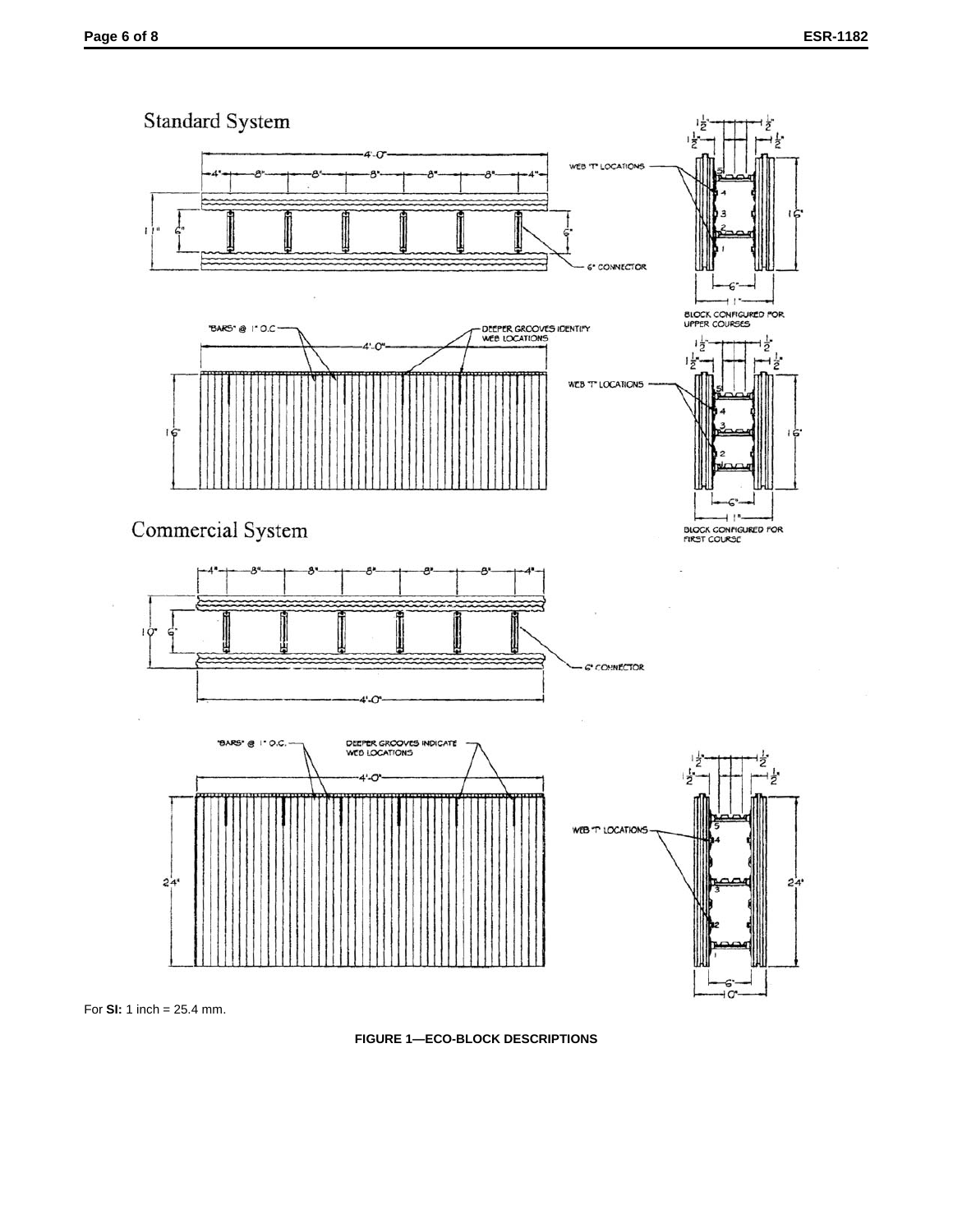

For **SI:** 1 inch = 25.4 mm.

**FIGURE 1—ECO-BLOCK DESCRIPTIONS**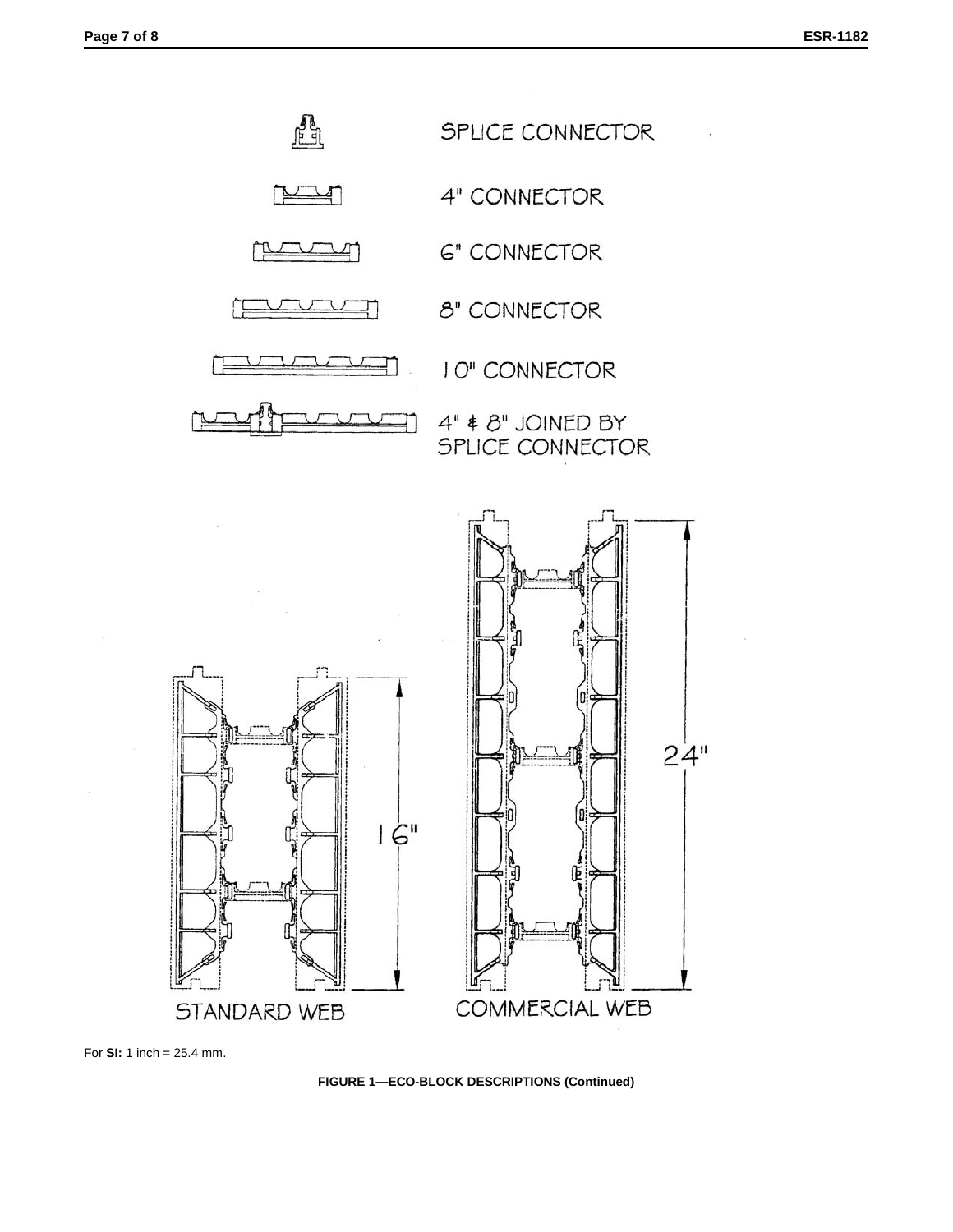

For **SI:** 1 inch = 25.4 mm.

**FIGURE 1—ECO-BLOCK DESCRIPTIONS (Continued)**